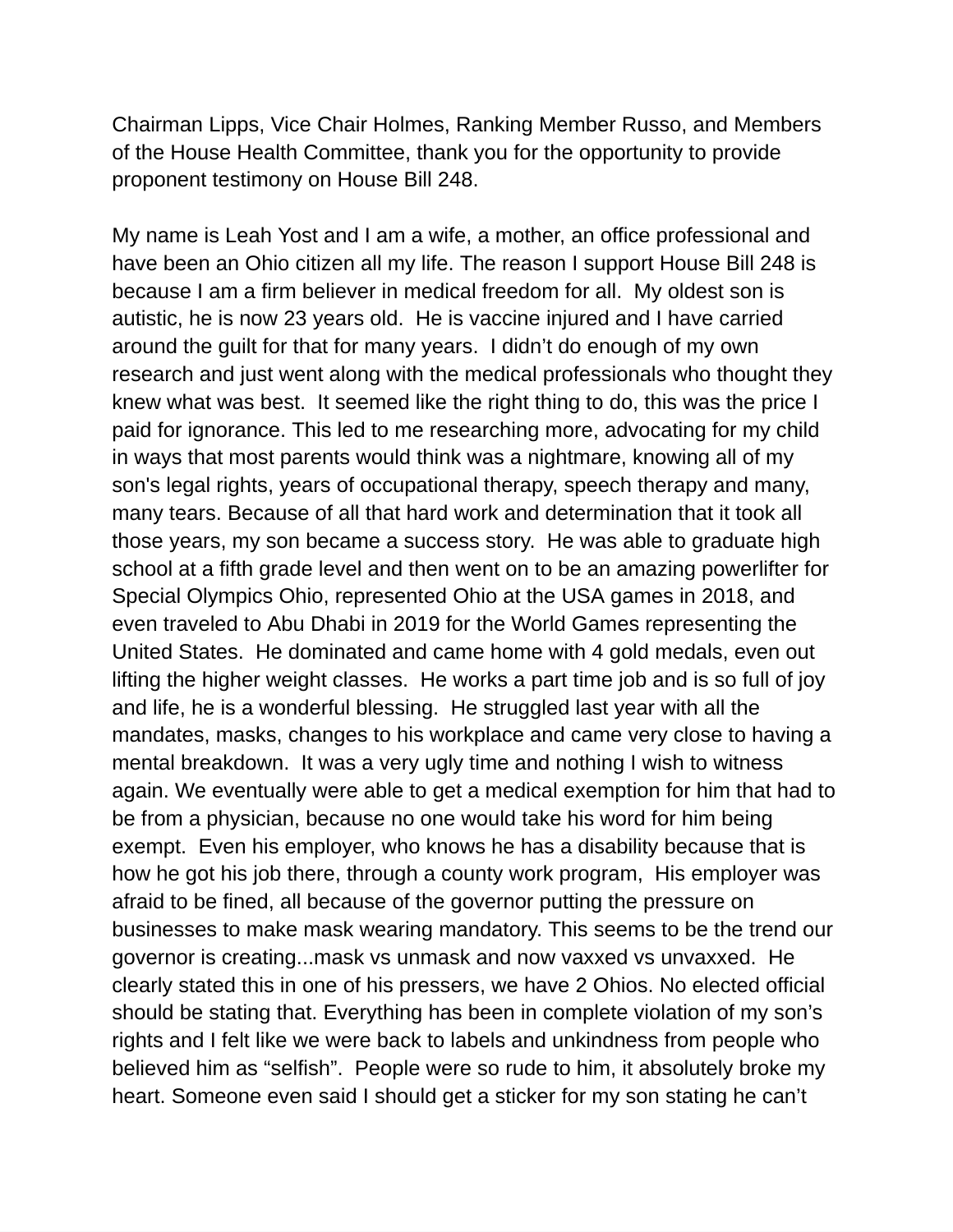Chairman Lipps, Vice Chair Holmes, Ranking Member Russo, and Members of the House Health Committee, thank you for the opportunity to provide proponent testimony on House Bill 248.

My name is Leah Yost and I am a wife, a mother, an office professional and have been an Ohio citizen all my life. The reason I support House Bill 248 is because I am a firm believer in medical freedom for all. My oldest son is autistic, he is now 23 years old. He is vaccine injured and I have carried around the guilt for that for many years. I didn't do enough of my own research and just went along with the medical professionals who thought they knew what was best. It seemed like the right thing to do, this was the price I paid for ignorance. This led to me researching more, advocating for my child in ways that most parents would think was a nightmare, knowing all of my son's legal rights, years of occupational therapy, speech therapy and many, many tears. Because of all that hard work and determination that it took all those years, my son became a success story. He was able to graduate high school at a fifth grade level and then went on to be an amazing powerlifter for Special Olympics Ohio, represented Ohio at the USA games in 2018, and even traveled to Abu Dhabi in 2019 for the World Games representing the United States. He dominated and came home with 4 gold medals, even out lifting the higher weight classes. He works a part time job and is so full of joy and life, he is a wonderful blessing. He struggled last year with all the mandates, masks, changes to his workplace and came very close to having a mental breakdown. It was a very ugly time and nothing I wish to witness again. We eventually were able to get a medical exemption for him that had to be from a physician, because no one would take his word for him being exempt. Even his employer, who knows he has a disability because that is how he got his job there, through a county work program, His employer was afraid to be fined, all because of the governor putting the pressure on businesses to make mask wearing mandatory. This seems to be the trend our governor is creating...mask vs unmask and now vaxxed vs unvaxxed. He clearly stated this in one of his pressers, we have 2 Ohios. No elected official should be stating that. Everything has been in complete violation of my son's rights and I felt like we were back to labels and unkindness from people who believed him as "selfish". People were so rude to him, it absolutely broke my heart. Someone even said I should get a sticker for my son stating he can't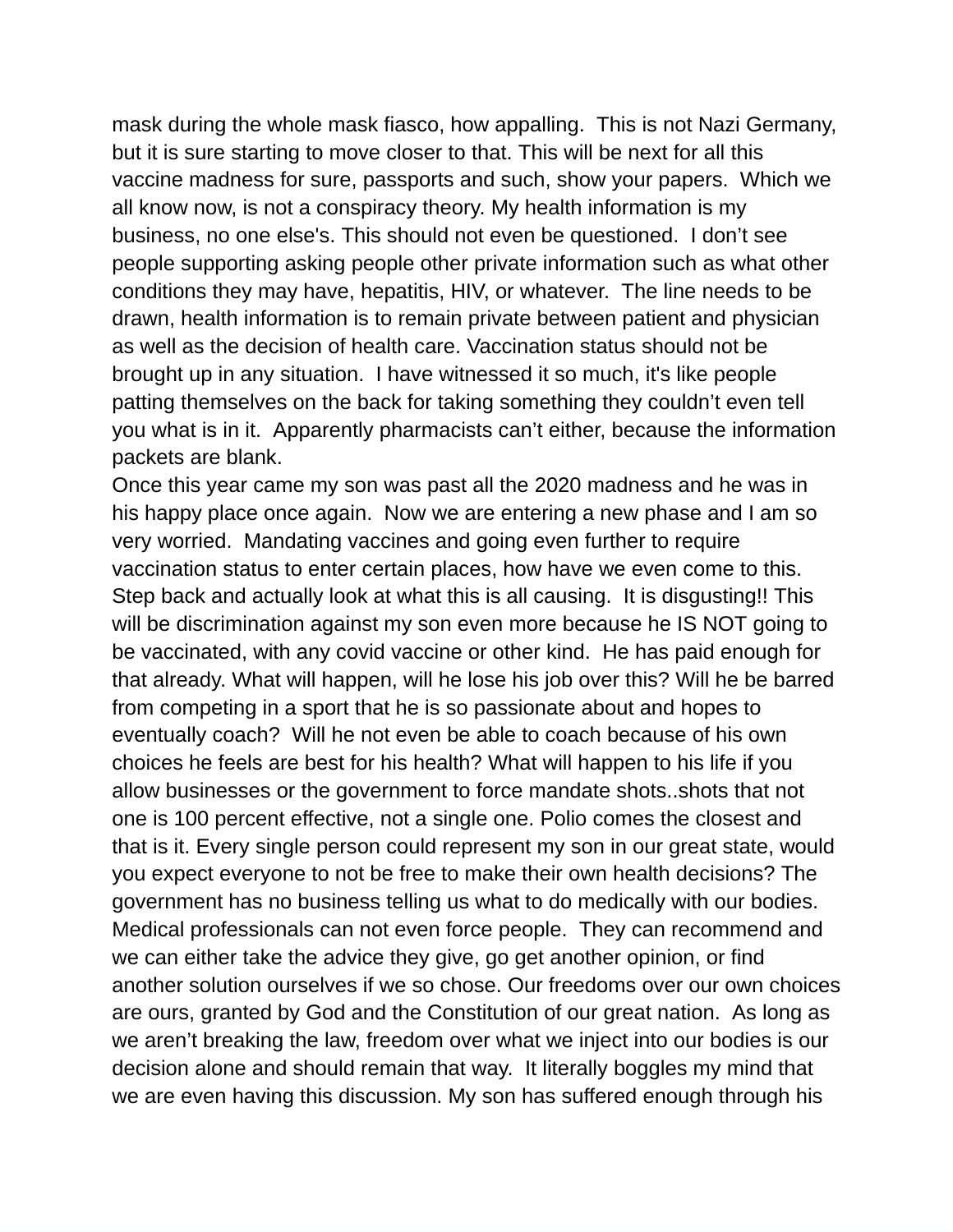mask during the whole mask fiasco, how appalling. This is not Nazi Germany, but it is sure starting to move closer to that. This will be next for all this vaccine madness for sure, passports and such, show your papers. Which we all know now, is not a conspiracy theory. My health information is my business, no one else's. This should not even be questioned. I don't see people supporting asking people other private information such as what other conditions they may have, hepatitis, HIV, or whatever. The line needs to be drawn, health information is to remain private between patient and physician as well as the decision of health care. Vaccination status should not be brought up in any situation. I have witnessed it so much, it's like people patting themselves on the back for taking something they couldn't even tell you what is in it. Apparently pharmacists can't either, because the information packets are blank.

Once this year came my son was past all the 2020 madness and he was in his happy place once again. Now we are entering a new phase and I am so very worried. Mandating vaccines and going even further to require vaccination status to enter certain places, how have we even come to this. Step back and actually look at what this is all causing. It is disgusting!! This will be discrimination against my son even more because he IS NOT going to be vaccinated, with any covid vaccine or other kind. He has paid enough for that already. What will happen, will he lose his job over this? Will he be barred from competing in a sport that he is so passionate about and hopes to eventually coach? Will he not even be able to coach because of his own choices he feels are best for his health? What will happen to his life if you allow businesses or the government to force mandate shots..shots that not one is 100 percent effective, not a single one. Polio comes the closest and that is it. Every single person could represent my son in our great state, would you expect everyone to not be free to make their own health decisions? The government has no business telling us what to do medically with our bodies. Medical professionals can not even force people. They can recommend and we can either take the advice they give, go get another opinion, or find another solution ourselves if we so chose. Our freedoms over our own choices are ours, granted by God and the Constitution of our great nation. As long as we aren't breaking the law, freedom over what we inject into our bodies is our decision alone and should remain that way. It literally boggles my mind that we are even having this discussion. My son has suffered enough through his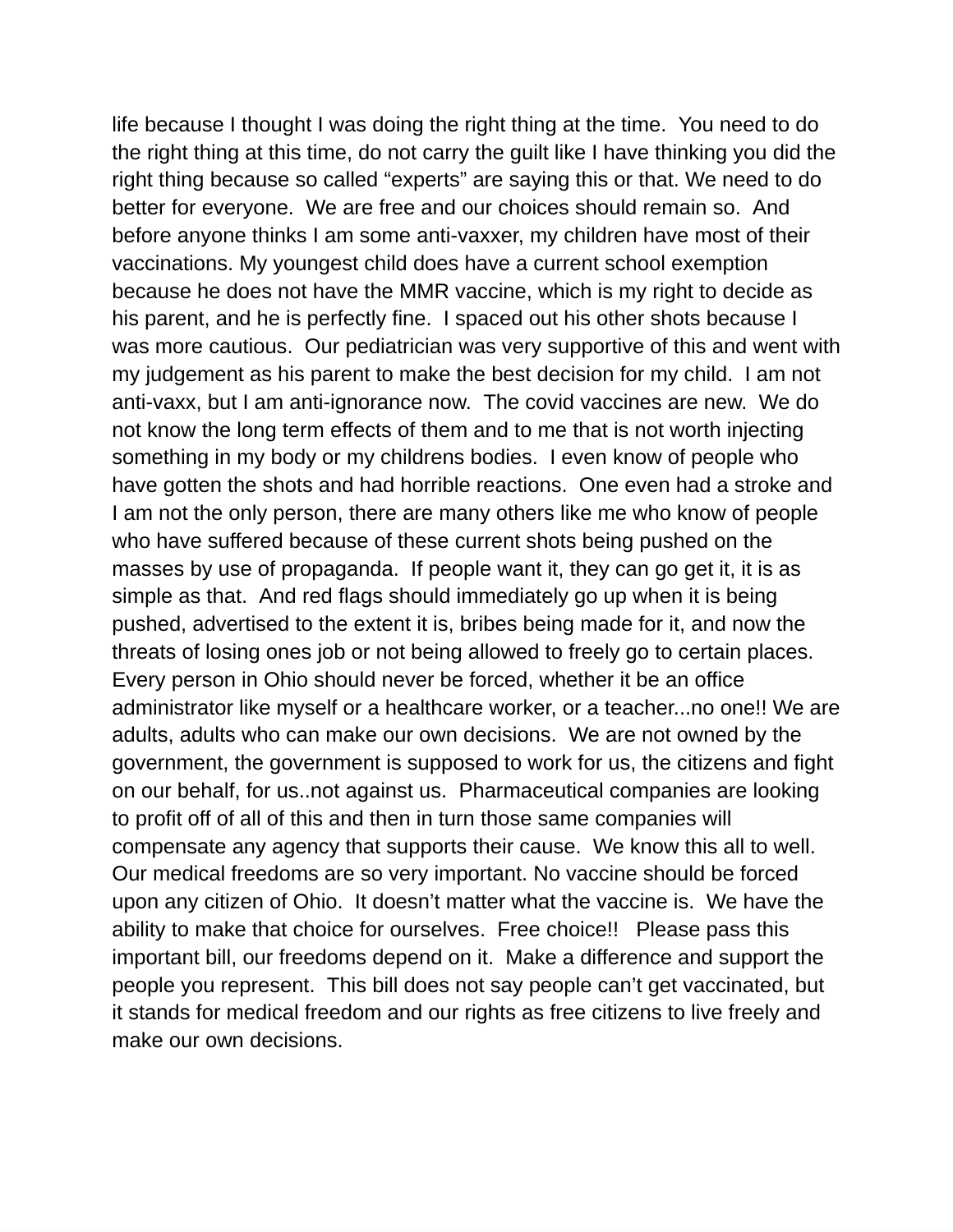life because I thought I was doing the right thing at the time. You need to do the right thing at this time, do not carry the guilt like I have thinking you did the right thing because so called "experts" are saying this or that. We need to do better for everyone. We are free and our choices should remain so. And before anyone thinks I am some anti-vaxxer, my children have most of their vaccinations. My youngest child does have a current school exemption because he does not have the MMR vaccine, which is my right to decide as his parent, and he is perfectly fine. I spaced out his other shots because I was more cautious. Our pediatrician was very supportive of this and went with my judgement as his parent to make the best decision for my child. I am not anti-vaxx, but I am anti-ignorance now. The covid vaccines are new. We do not know the long term effects of them and to me that is not worth injecting something in my body or my childrens bodies. I even know of people who have gotten the shots and had horrible reactions. One even had a stroke and I am not the only person, there are many others like me who know of people who have suffered because of these current shots being pushed on the masses by use of propaganda. If people want it, they can go get it, it is as simple as that. And red flags should immediately go up when it is being pushed, advertised to the extent it is, bribes being made for it, and now the threats of losing ones job or not being allowed to freely go to certain places. Every person in Ohio should never be forced, whether it be an office administrator like myself or a healthcare worker, or a teacher...no one!! We are adults, adults who can make our own decisions. We are not owned by the government, the government is supposed to work for us, the citizens and fight on our behalf, for us..not against us. Pharmaceutical companies are looking to profit off of all of this and then in turn those same companies will compensate any agency that supports their cause. We know this all to well. Our medical freedoms are so very important. No vaccine should be forced upon any citizen of Ohio. It doesn't matter what the vaccine is. We have the ability to make that choice for ourselves. Free choice!! Please pass this important bill, our freedoms depend on it. Make a difference and support the people you represent. This bill does not say people can't get vaccinated, but it stands for medical freedom and our rights as free citizens to live freely and make our own decisions.